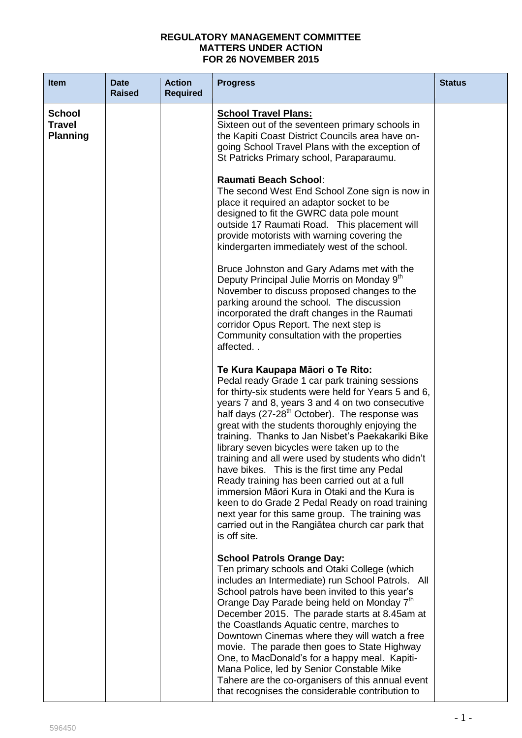## **REGULATORY MANAGEMENT COMMITTEE MATTERS UNDER ACTION FOR 26 NOVEMBER 2015**

| <b>Item</b>                                       | <b>Date</b><br><b>Raised</b> | <b>Action</b><br><b>Required</b> | <b>Progress</b>                                                                                                                                                                                                                                                                                                                                                                                                                                                                                                                                                                                                                                                                                                                                                                                     | <b>Status</b> |
|---------------------------------------------------|------------------------------|----------------------------------|-----------------------------------------------------------------------------------------------------------------------------------------------------------------------------------------------------------------------------------------------------------------------------------------------------------------------------------------------------------------------------------------------------------------------------------------------------------------------------------------------------------------------------------------------------------------------------------------------------------------------------------------------------------------------------------------------------------------------------------------------------------------------------------------------------|---------------|
| <b>School</b><br><b>Travel</b><br><b>Planning</b> |                              |                                  | <b>School Travel Plans:</b><br>Sixteen out of the seventeen primary schools in<br>the Kapiti Coast District Councils area have on-<br>going School Travel Plans with the exception of<br>St Patricks Primary school, Paraparaumu.                                                                                                                                                                                                                                                                                                                                                                                                                                                                                                                                                                   |               |
|                                                   |                              |                                  | <b>Raumati Beach School:</b><br>The second West End School Zone sign is now in<br>place it required an adaptor socket to be<br>designed to fit the GWRC data pole mount<br>outside 17 Raumati Road. This placement will<br>provide motorists with warning covering the<br>kindergarten immediately west of the school.                                                                                                                                                                                                                                                                                                                                                                                                                                                                              |               |
|                                                   |                              |                                  | Bruce Johnston and Gary Adams met with the<br>Deputy Principal Julie Morris on Monday 9th<br>November to discuss proposed changes to the<br>parking around the school. The discussion<br>incorporated the draft changes in the Raumati<br>corridor Opus Report. The next step is<br>Community consultation with the properties<br>affected                                                                                                                                                                                                                                                                                                                                                                                                                                                          |               |
|                                                   |                              |                                  | Te Kura Kaupapa Māori o Te Rito:<br>Pedal ready Grade 1 car park training sessions<br>for thirty-six students were held for Years 5 and 6,<br>years 7 and 8, years 3 and 4 on two consecutive<br>half days (27-28 <sup>th</sup> October). The response was<br>great with the students thoroughly enjoying the<br>training. Thanks to Jan Nisbet's Paekakariki Bike<br>library seven bicycles were taken up to the<br>training and all were used by students who didn't<br>have bikes. This is the first time any Pedal<br>Ready training has been carried out at a full<br>immersion Māori Kura in Otaki and the Kura is<br>keen to do Grade 2 Pedal Ready on road training<br>next year for this same group. The training was<br>carried out in the Rangiatea church car park that<br>is off site. |               |
|                                                   |                              |                                  | <b>School Patrols Orange Day:</b><br>Ten primary schools and Otaki College (which<br>includes an Intermediate) run School Patrols. All<br>School patrols have been invited to this year's<br>Orange Day Parade being held on Monday 7th<br>December 2015. The parade starts at 8.45am at<br>the Coastlands Aquatic centre, marches to<br>Downtown Cinemas where they will watch a free<br>movie. The parade then goes to State Highway<br>One, to MacDonald's for a happy meal. Kapiti-<br>Mana Police, led by Senior Constable Mike<br>Tahere are the co-organisers of this annual event<br>that recognises the considerable contribution to                                                                                                                                                       |               |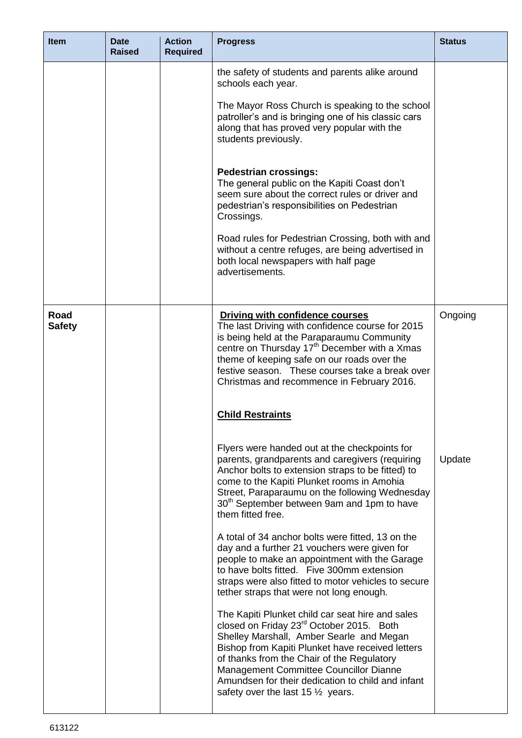| <b>Item</b>           | Date<br><b>Raised</b> | <b>Action</b><br><b>Required</b> | <b>Progress</b>                                                                                                                                                                                                                                                                                                                                                                                      | <b>Status</b> |
|-----------------------|-----------------------|----------------------------------|------------------------------------------------------------------------------------------------------------------------------------------------------------------------------------------------------------------------------------------------------------------------------------------------------------------------------------------------------------------------------------------------------|---------------|
|                       |                       |                                  | the safety of students and parents alike around<br>schools each year.<br>The Mayor Ross Church is speaking to the school<br>patroller's and is bringing one of his classic cars<br>along that has proved very popular with the<br>students previously.<br><b>Pedestrian crossings:</b><br>The general public on the Kapiti Coast don't                                                               |               |
|                       |                       |                                  | seem sure about the correct rules or driver and<br>pedestrian's responsibilities on Pedestrian<br>Crossings.<br>Road rules for Pedestrian Crossing, both with and                                                                                                                                                                                                                                    |               |
|                       |                       |                                  | without a centre refuges, are being advertised in<br>both local newspapers with half page<br>advertisements.                                                                                                                                                                                                                                                                                         |               |
| Road<br><b>Safety</b> |                       |                                  | <b>Driving with confidence courses</b><br>The last Driving with confidence course for 2015<br>is being held at the Paraparaumu Community<br>centre on Thursday 17 <sup>th</sup> December with a Xmas<br>theme of keeping safe on our roads over the<br>festive season. These courses take a break over<br>Christmas and recommence in February 2016.                                                 | Ongoing       |
|                       |                       |                                  | <b>Child Restraints</b>                                                                                                                                                                                                                                                                                                                                                                              |               |
|                       |                       |                                  | Flyers were handed out at the checkpoints for<br>parents, grandparents and caregivers (requiring<br>Anchor bolts to extension straps to be fitted) to<br>come to the Kapiti Plunket rooms in Amohia<br>Street, Paraparaumu on the following Wednesday<br>30 <sup>th</sup> September between 9am and 1pm to have<br>them fitted free.                                                                 | Update        |
|                       |                       |                                  | A total of 34 anchor bolts were fitted, 13 on the<br>day and a further 21 vouchers were given for<br>people to make an appointment with the Garage<br>to have bolts fitted. Five 300mm extension<br>straps were also fitted to motor vehicles to secure<br>tether straps that were not long enough.                                                                                                  |               |
|                       |                       |                                  | The Kapiti Plunket child car seat hire and sales<br>closed on Friday 23 <sup>rd</sup> October 2015. Both<br>Shelley Marshall, Amber Searle and Megan<br>Bishop from Kapiti Plunket have received letters<br>of thanks from the Chair of the Regulatory<br>Management Committee Councillor Dianne<br>Amundsen for their dedication to child and infant<br>safety over the last $15\frac{1}{2}$ years. |               |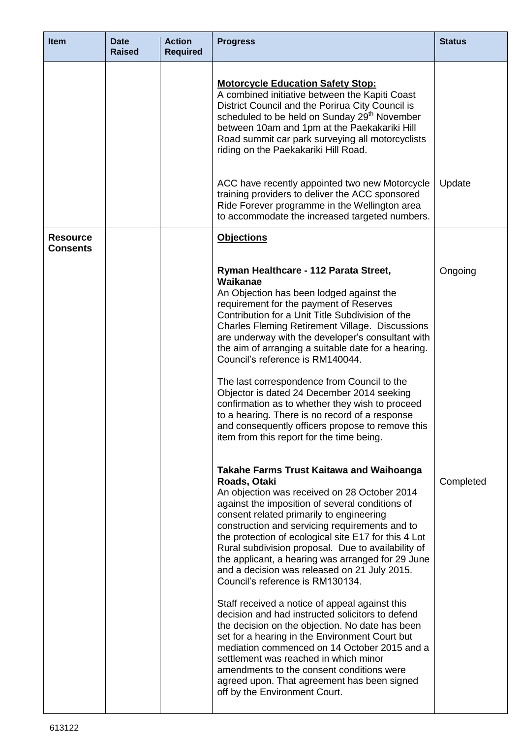| <b>Item</b>                        | <b>Date</b><br><b>Raised</b> | <b>Action</b><br><b>Required</b> | <b>Progress</b>                                                                                                                                                                                                                                                                                                                                                                                                                                                                                                                                                                                                                                                                                                                                                                                                                                                                                                                                          | <b>Status</b> |
|------------------------------------|------------------------------|----------------------------------|----------------------------------------------------------------------------------------------------------------------------------------------------------------------------------------------------------------------------------------------------------------------------------------------------------------------------------------------------------------------------------------------------------------------------------------------------------------------------------------------------------------------------------------------------------------------------------------------------------------------------------------------------------------------------------------------------------------------------------------------------------------------------------------------------------------------------------------------------------------------------------------------------------------------------------------------------------|---------------|
|                                    |                              |                                  | <b>Motorcycle Education Safety Stop:</b><br>A combined initiative between the Kapiti Coast<br>District Council and the Porirua City Council is<br>scheduled to be held on Sunday 29 <sup>th</sup> November<br>between 10am and 1pm at the Paekakariki Hill<br>Road summit car park surveying all motorcyclists<br>riding on the Paekakariki Hill Road.                                                                                                                                                                                                                                                                                                                                                                                                                                                                                                                                                                                                   |               |
|                                    |                              |                                  | ACC have recently appointed two new Motorcycle<br>training providers to deliver the ACC sponsored<br>Ride Forever programme in the Wellington area<br>to accommodate the increased targeted numbers.                                                                                                                                                                                                                                                                                                                                                                                                                                                                                                                                                                                                                                                                                                                                                     | Update        |
| <b>Resource</b><br><b>Consents</b> |                              |                                  | <b>Objections</b>                                                                                                                                                                                                                                                                                                                                                                                                                                                                                                                                                                                                                                                                                                                                                                                                                                                                                                                                        |               |
|                                    |                              |                                  | Ryman Healthcare - 112 Parata Street,<br>Waikanae<br>An Objection has been lodged against the<br>requirement for the payment of Reserves<br>Contribution for a Unit Title Subdivision of the<br><b>Charles Fleming Retirement Village. Discussions</b><br>are underway with the developer's consultant with<br>the aim of arranging a suitable date for a hearing.<br>Council's reference is RM140044.<br>The last correspondence from Council to the<br>Objector is dated 24 December 2014 seeking<br>confirmation as to whether they wish to proceed<br>to a hearing. There is no record of a response<br>and consequently officers propose to remove this<br>item from this report for the time being.                                                                                                                                                                                                                                                | Ongoing       |
|                                    |                              |                                  | <b>Takahe Farms Trust Kaitawa and Waihoanga</b><br>Roads, Otaki<br>An objection was received on 28 October 2014<br>against the imposition of several conditions of<br>consent related primarily to engineering<br>construction and servicing requirements and to<br>the protection of ecological site E17 for this 4 Lot<br>Rural subdivision proposal. Due to availability of<br>the applicant, a hearing was arranged for 29 June<br>and a decision was released on 21 July 2015.<br>Council's reference is RM130134.<br>Staff received a notice of appeal against this<br>decision and had instructed solicitors to defend<br>the decision on the objection. No date has been<br>set for a hearing in the Environment Court but<br>mediation commenced on 14 October 2015 and a<br>settlement was reached in which minor<br>amendments to the consent conditions were<br>agreed upon. That agreement has been signed<br>off by the Environment Court. | Completed     |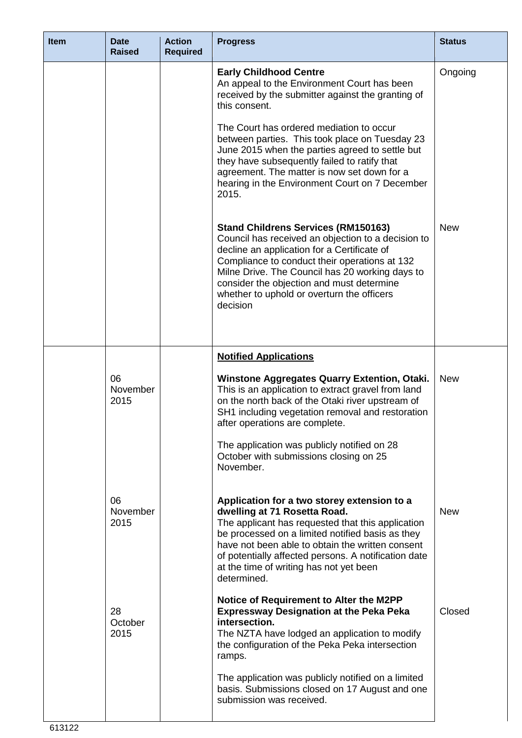| <b>Item</b> | <b>Date</b><br><b>Raised</b> | <b>Action</b><br><b>Required</b> | <b>Progress</b>                                                                                                                                                                                                                                                                                                                                            | <b>Status</b> |
|-------------|------------------------------|----------------------------------|------------------------------------------------------------------------------------------------------------------------------------------------------------------------------------------------------------------------------------------------------------------------------------------------------------------------------------------------------------|---------------|
|             |                              |                                  | <b>Early Childhood Centre</b><br>An appeal to the Environment Court has been<br>received by the submitter against the granting of<br>this consent.                                                                                                                                                                                                         | Ongoing       |
|             |                              |                                  | The Court has ordered mediation to occur<br>between parties. This took place on Tuesday 23<br>June 2015 when the parties agreed to settle but<br>they have subsequently failed to ratify that<br>agreement. The matter is now set down for a<br>hearing in the Environment Court on 7 December<br>2015.                                                    |               |
|             |                              |                                  | <b>Stand Childrens Services (RM150163)</b><br>Council has received an objection to a decision to<br>decline an application for a Certificate of<br>Compliance to conduct their operations at 132<br>Milne Drive. The Council has 20 working days to<br>consider the objection and must determine<br>whether to uphold or overturn the officers<br>decision | <b>New</b>    |
|             |                              |                                  | <b>Notified Applications</b>                                                                                                                                                                                                                                                                                                                               |               |
|             | 06<br>November<br>2015       |                                  | <b>Winstone Aggregates Quarry Extention, Otaki.</b><br>This is an application to extract gravel from land<br>on the north back of the Otaki river upstream of<br>SH1 including vegetation removal and restoration<br>after operations are complete.                                                                                                        | <b>New</b>    |
|             |                              |                                  | The application was publicly notified on 28<br>October with submissions closing on 25<br>November.                                                                                                                                                                                                                                                         |               |
|             | 06<br>November<br>2015       |                                  | Application for a two storey extension to a<br>dwelling at 71 Rosetta Road.<br>The applicant has requested that this application<br>be processed on a limited notified basis as they<br>have not been able to obtain the written consent<br>of potentially affected persons. A notification date<br>at the time of writing has not yet been<br>determined. | <b>New</b>    |
|             | 28<br>October<br>2015        |                                  | Notice of Requirement to Alter the M2PP<br><b>Expressway Designation at the Peka Peka</b><br>intersection.<br>The NZTA have lodged an application to modify<br>the configuration of the Peka Peka intersection<br>ramps.                                                                                                                                   | Closed        |
|             |                              |                                  | The application was publicly notified on a limited<br>basis. Submissions closed on 17 August and one<br>submission was received.                                                                                                                                                                                                                           |               |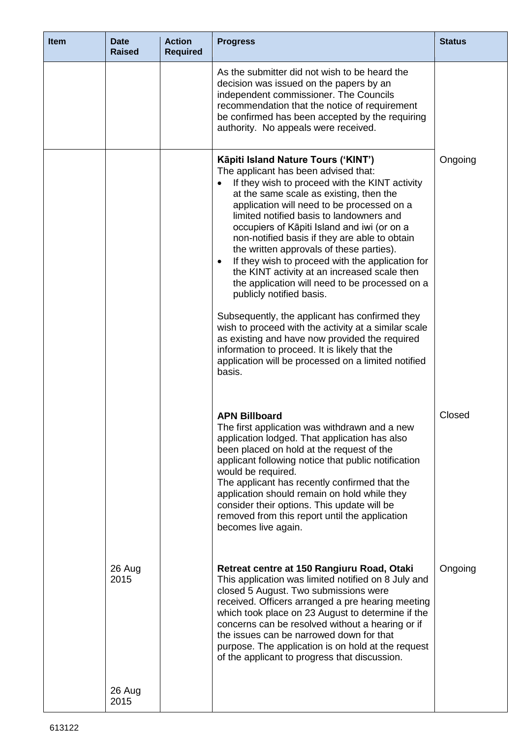| <b>Item</b> | <b>Date</b><br><b>Raised</b> | <b>Action</b><br><b>Required</b> | <b>Progress</b>                                                                                                                                                                                                                                                                                                                                                                                                                                                                                                                                                                                                                                                                                                                                                                                                                                                                                          | <b>Status</b> |
|-------------|------------------------------|----------------------------------|----------------------------------------------------------------------------------------------------------------------------------------------------------------------------------------------------------------------------------------------------------------------------------------------------------------------------------------------------------------------------------------------------------------------------------------------------------------------------------------------------------------------------------------------------------------------------------------------------------------------------------------------------------------------------------------------------------------------------------------------------------------------------------------------------------------------------------------------------------------------------------------------------------|---------------|
|             |                              |                                  | As the submitter did not wish to be heard the<br>decision was issued on the papers by an<br>independent commissioner. The Councils<br>recommendation that the notice of requirement<br>be confirmed has been accepted by the requiring<br>authority. No appeals were received.                                                                                                                                                                                                                                                                                                                                                                                                                                                                                                                                                                                                                           |               |
|             |                              |                                  | Kāpiti Island Nature Tours ('KINT')<br>The applicant has been advised that:<br>If they wish to proceed with the KINT activity<br>$\bullet$<br>at the same scale as existing, then the<br>application will need to be processed on a<br>limited notified basis to landowners and<br>occupiers of Kāpiti Island and iwi (or on a<br>non-notified basis if they are able to obtain<br>the written approvals of these parties).<br>If they wish to proceed with the application for<br>$\bullet$<br>the KINT activity at an increased scale then<br>the application will need to be processed on a<br>publicly notified basis.<br>Subsequently, the applicant has confirmed they<br>wish to proceed with the activity at a similar scale<br>as existing and have now provided the required<br>information to proceed. It is likely that the<br>application will be processed on a limited notified<br>basis. | Ongoing       |
|             |                              |                                  | <b>APN Billboard</b><br>The first application was withdrawn and a new<br>application lodged. That application has also<br>been placed on hold at the request of the<br>applicant following notice that public notification<br>would be required.<br>The applicant has recently confirmed that the<br>application should remain on hold while they<br>consider their options. This update will be<br>removed from this report until the application<br>becomes live again.                                                                                                                                                                                                                                                                                                                                                                                                                                | Closed        |
|             | 26 Aug<br>2015               |                                  | Retreat centre at 150 Rangiuru Road, Otaki<br>This application was limited notified on 8 July and<br>closed 5 August. Two submissions were<br>received. Officers arranged a pre hearing meeting<br>which took place on 23 August to determine if the<br>concerns can be resolved without a hearing or if<br>the issues can be narrowed down for that<br>purpose. The application is on hold at the request<br>of the applicant to progress that discussion.                                                                                                                                                                                                                                                                                                                                                                                                                                              | Ongoing       |
|             | 26 Aug<br>2015               |                                  |                                                                                                                                                                                                                                                                                                                                                                                                                                                                                                                                                                                                                                                                                                                                                                                                                                                                                                          |               |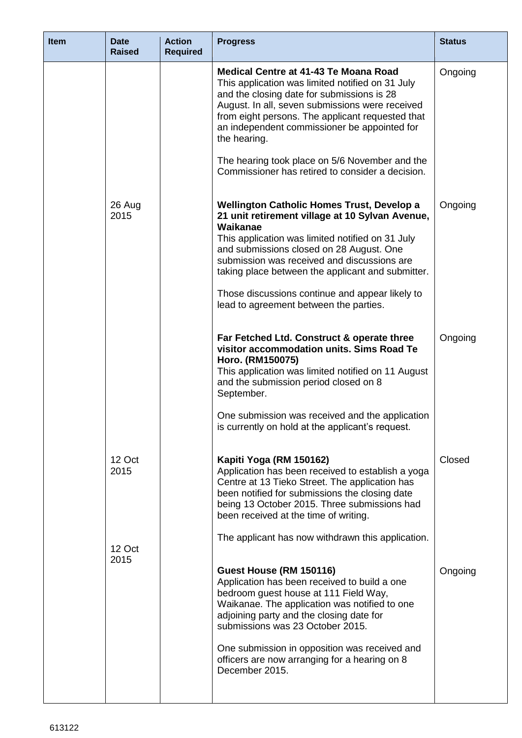| <b>Item</b> | <b>Date</b><br><b>Raised</b> | <b>Action</b><br><b>Required</b> | <b>Progress</b>                                                                                                                                                                                                                                                                                                                                                                                                            | <b>Status</b> |
|-------------|------------------------------|----------------------------------|----------------------------------------------------------------------------------------------------------------------------------------------------------------------------------------------------------------------------------------------------------------------------------------------------------------------------------------------------------------------------------------------------------------------------|---------------|
|             |                              |                                  | <b>Medical Centre at 41-43 Te Moana Road</b><br>This application was limited notified on 31 July<br>and the closing date for submissions is 28<br>August. In all, seven submissions were received<br>from eight persons. The applicant requested that<br>an independent commissioner be appointed for<br>the hearing.<br>The hearing took place on 5/6 November and the                                                    | Ongoing       |
|             |                              |                                  | Commissioner has retired to consider a decision.                                                                                                                                                                                                                                                                                                                                                                           |               |
|             | 26 Aug<br>2015               |                                  | <b>Wellington Catholic Homes Trust, Develop a</b><br>21 unit retirement village at 10 Sylvan Avenue,<br>Waikanae<br>This application was limited notified on 31 July<br>and submissions closed on 28 August. One<br>submission was received and discussions are<br>taking place between the applicant and submitter.<br>Those discussions continue and appear likely to<br>lead to agreement between the parties.          | Ongoing       |
|             |                              |                                  | Far Fetched Ltd. Construct & operate three<br>visitor accommodation units. Sims Road Te<br>Horo. (RM150075)<br>This application was limited notified on 11 August<br>and the submission period closed on 8<br>September.<br>One submission was received and the application<br>is currently on hold at the applicant's request.                                                                                            | Ongoing       |
|             | 12 Oct<br>2015               |                                  | Kapiti Yoga (RM 150162)<br>Application has been received to establish a yoga<br>Centre at 13 Tieko Street. The application has<br>been notified for submissions the closing date<br>being 13 October 2015. Three submissions had<br>been received at the time of writing.                                                                                                                                                  | Closed        |
|             | 12 Oct<br>2015               |                                  | The applicant has now withdrawn this application.<br>Guest House (RM 150116)<br>Application has been received to build a one<br>bedroom guest house at 111 Field Way,<br>Waikanae. The application was notified to one<br>adjoining party and the closing date for<br>submissions was 23 October 2015.<br>One submission in opposition was received and<br>officers are now arranging for a hearing on 8<br>December 2015. | Ongoing       |